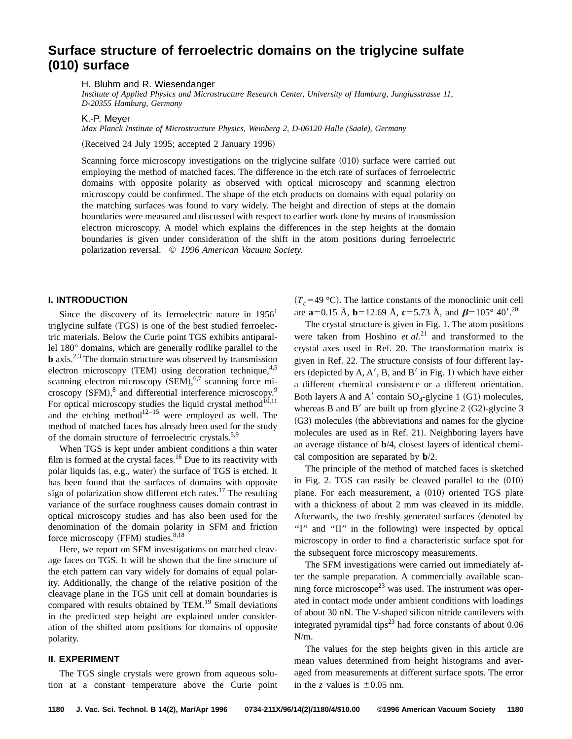# **Surface structure of ferroelectric domains on the triglycine sulfate (010) surface**

H. Bluhm and R. Wiesendanger

*Institute of Applied Physics and Microstructure Research Center, University of Hamburg, Jungiusstrasse 11, D-20355 Hamburg, Germany*

K.-P. Meyer

*Max Planck Institute of Microstructure Physics, Weinberg 2, D-06120 Halle (Saale), Germany*

(Received 24 July 1995; accepted 2 January 1996)

Scanning force microscopy investigations on the triglycine sulfate  $(010)$  surface were carried out employing the method of matched faces. The difference in the etch rate of surfaces of ferroelectric domains with opposite polarity as observed with optical microscopy and scanning electron microscopy could be confirmed. The shape of the etch products on domains with equal polarity on the matching surfaces was found to vary widely. The height and direction of steps at the domain boundaries were measured and discussed with respect to earlier work done by means of transmission electron microscopy. A model which explains the differences in the step heights at the domain boundaries is given under consideration of the shift in the atom positions during ferroelectric polarization reversal. © *1996 American Vacuum Society.*

# **I. INTRODUCTION**

Since the discovery of its ferroelectric nature in  $1956<sup>1</sup>$ triglycine sulfate  $(TGS)$  is one of the best studied ferroelectric materials. Below the Curie point TGS exhibits antiparallel 180° domains, which are generally rodlike parallel to the **b** axis.<sup>2,3</sup> The domain structure was observed by transmission electron microscopy  $(TEM)$  using decoration technique,<sup>4,5</sup> scanning electron microscopy  $(SEM),$ <sup>6,7</sup> scanning force microscopy  $(SFM)$ ,<sup>8</sup> and differential interference microscopy.<sup>9</sup> For optical microscopy studies the liquid crystal method $^{10,11}$ and the etching method $12-15$  were employed as well. The method of matched faces has already been used for the study of the domain structure of ferroelectric crystals.<sup>5,9</sup>

When TGS is kept under ambient conditions a thin water film is formed at the crystal faces.<sup>16</sup> Due to its reactivity with polar liquids (as, e.g., water) the surface of TGS is etched. It has been found that the surfaces of domains with opposite sign of polarization show different etch rates.<sup>17</sup> The resulting variance of the surface roughness causes domain contrast in optical microscopy studies and has also been used for the denomination of the domain polarity in SFM and friction force microscopy  $(FFM)$  studies.<sup>8,18</sup>

Here, we report on SFM investigations on matched cleavage faces on TGS. It will be shown that the fine structure of the etch pattern can vary widely for domains of equal polarity. Additionally, the change of the relative position of the cleavage plane in the TGS unit cell at domain boundaries is compared with results obtained by TEM.<sup>19</sup> Small deviations in the predicted step height are explained under consideration of the shifted atom positions for domains of opposite polarity.

#### **II. EXPERIMENT**

The TGS single crystals were grown from aqueous solution at a constant temperature above the Curie point  $(T_c=49 \text{ °C})$ . The lattice constants of the monoclinic unit cell are  $\mathbf{a}=0.15$  Å,  $\mathbf{b}=12.69$  Å,  $\mathbf{c}=5.73$  Å, and  $\boldsymbol{\beta}=105^{\circ}$  40'.<sup>20</sup>

The crystal structure is given in Fig. 1. The atom positions were taken from Hoshino *et al.*<sup>21</sup> and transformed to the crystal axes used in Ref. 20. The transformation matrix is given in Ref. 22. The structure consists of four different layers (depicted by A, A', B, and B' in Fig. 1) which have either a different chemical consistence or a different orientation. Both layers A and A' contain  $SO_4$ -glycine 1 (G1) molecules, whereas B and B' are built up from glycine 2  $(G2)$ -glycine 3 (G3) molecules (the abbreviations and names for the glycine molecules are used as in Ref. 21). Neighboring layers have an average distance of **b**/4, closest layers of identical chemical composition are separated by **b**/2.

The principle of the method of matched faces is sketched in Fig. 2. TGS can easily be cleaved parallel to the  $(010)$ plane. For each measurement, a (010) oriented TGS plate with a thickness of about 2 mm was cleaved in its middle. Afterwards, the two freshly generated surfaces (denoted by "I" and "II" in the following) were inspected by optical microscopy in order to find a characteristic surface spot for the subsequent force microscopy measurements.

The SFM investigations were carried out immediately after the sample preparation. A commercially available scanning force microscope<sup>23</sup> was used. The instrument was operated in contact mode under ambient conditions with loadings of about 30 nN. The V-shaped silicon nitride cantilevers with integrated pyramidal tips<sup>23</sup> had force constants of about  $0.06$ N/m.

The values for the step heights given in this article are mean values determined from height histograms and averaged from measurements at different surface spots. The error in the *z* values is  $\pm 0.05$  nm.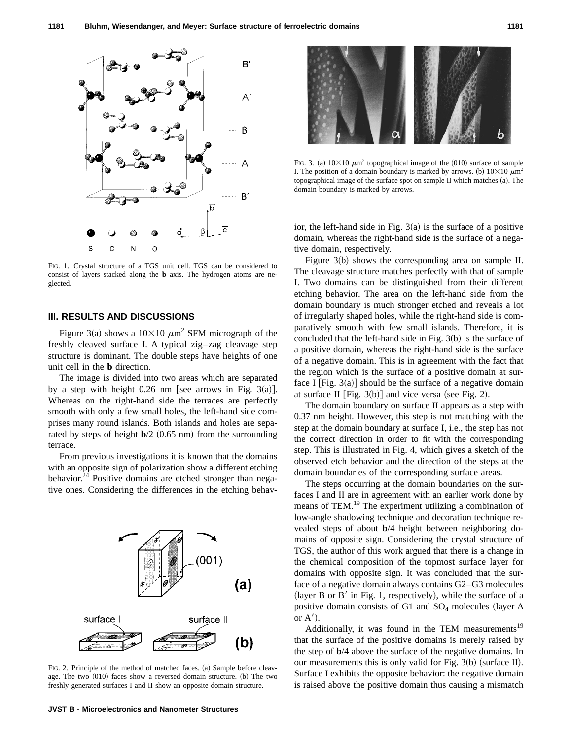

FIG. 1. Crystal structure of a TGS unit cell. TGS can be considered to consist of layers stacked along the **b** axis. The hydrogen atoms are neglected.

# **III. RESULTS AND DISCUSSIONS**

Figure 3(a) shows a  $10\times10 \ \mu m^2$  SFM micrograph of the freshly cleaved surface I. A typical zig–zag cleavage step structure is dominant. The double steps have heights of one unit cell in the **b** direction.

The image is divided into two areas which are separated by a step with height  $0.26$  nm [see arrows in Fig. 3(a)]. Whereas on the right-hand side the terraces are perfectly smooth with only a few small holes, the left-hand side comprises many round islands. Both islands and holes are separated by steps of height  $\mathbf{b}/2$  (0.65 nm) from the surrounding terrace.

From previous investigations it is known that the domains with an opposite sign of polarization show a different etching behavior.<sup>24</sup> Positive domains are etched stronger than negative ones. Considering the differences in the etching behav-



FIG. 2. Principle of the method of matched faces. (a) Sample before cleavage. The two  $(010)$  faces show a reversed domain structure.  $(b)$  The two freshly generated surfaces I and II show an opposite domain structure.



FIG. 3. (a)  $10\times10 \mu m^2$  topographical image of the (010) surface of sample I. The position of a domain boundary is marked by arrows. (b)  $10\times10 \ \mu m^2$ topographical image of the surface spot on sample II which matches (a). The domain boundary is marked by arrows.

ior, the left-hand side in Fig.  $3(a)$  is the surface of a positive domain, whereas the right-hand side is the surface of a negative domain, respectively.

Figure  $3(b)$  shows the corresponding area on sample II. The cleavage structure matches perfectly with that of sample I. Two domains can be distinguished from their different etching behavior. The area on the left-hand side from the domain boundary is much stronger etched and reveals a lot of irregularly shaped holes, while the right-hand side is comparatively smooth with few small islands. Therefore, it is concluded that the left-hand side in Fig.  $3(b)$  is the surface of a positive domain, whereas the right-hand side is the surface of a negative domain. This is in agreement with the fact that the region which is the surface of a positive domain at surface I [Fig. 3(a)] should be the surface of a negative domain at surface II [Fig.  $3(b)$ ] and vice versa (see Fig. 2).

The domain boundary on surface II appears as a step with 0.37 nm height. However, this step is not matching with the step at the domain boundary at surface I, i.e., the step has not the correct direction in order to fit with the corresponding step. This is illustrated in Fig. 4, which gives a sketch of the observed etch behavior and the direction of the steps at the domain boundaries of the corresponding surface areas.

The steps occurring at the domain boundaries on the surfaces I and II are in agreement with an earlier work done by means of TEM.<sup>19</sup> The experiment utilizing a combination of low-angle shadowing technique and decoration technique revealed steps of about **b**/4 height between neighboring domains of opposite sign. Considering the crystal structure of TGS, the author of this work argued that there is a change in the chemical composition of the topmost surface layer for domains with opposite sign. It was concluded that the surface of a negative domain always contains G2–G3 molecules (layer B or B' in Fig. 1, respectively), while the surface of a positive domain consists of G1 and  $SO_4$  molecules (layer A or  $A'$ ).

Additionally, it was found in the TEM measurements<sup>19</sup> that the surface of the positive domains is merely raised by the step of **b**/4 above the surface of the negative domains. In our measurements this is only valid for Fig.  $3(b)$  (surface II). Surface I exhibits the opposite behavior: the negative domain is raised above the positive domain thus causing a mismatch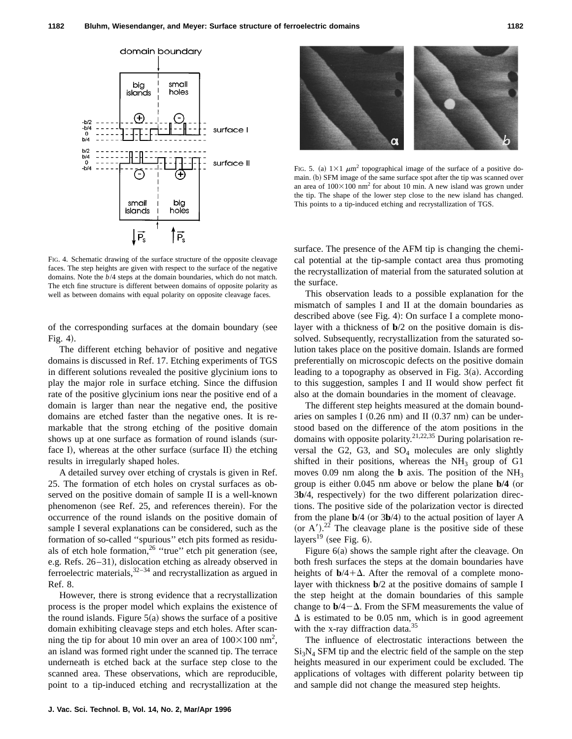

FIG. 4. Schematic drawing of the surface structure of the opposite cleavage faces. The step heights are given with respect to the surface of the negative domains. Note the *b*/4 steps at the domain boundaries, which do not match. The etch fine structure is different between domains of opposite polarity as well as between domains with equal polarity on opposite cleavage faces.

of the corresponding surfaces at the domain boundary (see Fig.  $4$ ).

The different etching behavior of positive and negative domains is discussed in Ref. 17. Etching experiments of TGS in different solutions revealed the positive glycinium ions to play the major role in surface etching. Since the diffusion rate of the positive glycinium ions near the positive end of a domain is larger than near the negative end, the positive domains are etched faster than the negative ones. It is remarkable that the strong etching of the positive domain shows up at one surface as formation of round islands (surface I), whereas at the other surface (surface II) the etching results in irregularly shaped holes.

A detailed survey over etching of crystals is given in Ref. 25. The formation of etch holes on crystal surfaces as observed on the positive domain of sample II is a well-known phenomenon (see Ref. 25, and references therein). For the occurrence of the round islands on the positive domain of sample I several explanations can be considered, such as the formation of so-called ''spurious'' etch pits formed as residuals of etch hole formation,<sup>26</sup> "true" etch pit generation (see, e.g. Refs. 26–31), dislocation etching as already observed in ferroelectric materials,  $32-34$  and recrystallization as argued in Ref. 8.

However, there is strong evidence that a recrystallization process is the proper model which explains the existence of the round islands. Figure  $5(a)$  shows the surface of a positive domain exhibiting cleavage steps and etch holes. After scanning the tip for about 10 min over an area of  $100\times100$  nm<sup>2</sup>, an island was formed right under the scanned tip. The terrace underneath is etched back at the surface step close to the scanned area. These observations, which are reproducible, point to a tip-induced etching and recrystallization at the



FIG. 5. (a)  $1\times1$   $\mu$ m<sup>2</sup> topographical image of the surface of a positive domain. (b) SFM image of the same surface spot after the tip was scanned over an area of  $100\times100$  nm<sup>2</sup> for about 10 min. A new island was grown under the tip. The shape of the lower step close to the new island has changed. This points to a tip-induced etching and recrystallization of TGS.

surface. The presence of the AFM tip is changing the chemical potential at the tip-sample contact area thus promoting the recrystallization of material from the saturated solution at the surface.

This observation leads to a possible explanation for the mismatch of samples I and II at the domain boundaries as described above (see Fig. 4): On surface I a complete monolayer with a thickness of **b**/2 on the positive domain is dissolved. Subsequently, recrystallization from the saturated solution takes place on the positive domain. Islands are formed preferentially on microscopic defects on the positive domain leading to a topography as observed in Fig.  $3(a)$ . According to this suggestion, samples I and II would show perfect fit also at the domain boundaries in the moment of cleavage.

The different step heights measured at the domain boundaries on samples I  $(0.26$  nm) and II  $(0.37$  nm) can be understood based on the difference of the atom positions in the domains with opposite polarity.<sup>21,22,35</sup> During polarisation reversal the G2, G3, and  $SO_4$  molecules are only slightly shifted in their positions, whereas the  $NH<sub>3</sub>$  group of G1 moves 0.09 nm along the **b** axis. The position of the  $NH<sub>3</sub>$ group is either  $0.045$  nm above or below the plane  $\frac{b}{4}$  (or 3b/4, respectively) for the two different polarization directions. The positive side of the polarization vector is directed from the plane  $\mathbf{b}/4$  (or 3 $\mathbf{b}/4$ ) to the actual position of layer A (or A').<sup>22</sup> The cleavage plane is the positive side of these layers<sup>19</sup> (see Fig. 6).

Figure  $6(a)$  shows the sample right after the cleavage. On both fresh surfaces the steps at the domain boundaries have heights of  $b/4+\Delta$ . After the removal of a complete monolayer with thickness **b**/2 at the positive domains of sample I the step height at the domain boundaries of this sample change to  $b/4-\Delta$ . From the SFM measurements the value of  $\Delta$  is estimated to be 0.05 nm, which is in good agreement with the x-ray diffraction data.<sup>35</sup>

The influence of electrostatic interactions between the  $Si<sub>3</sub>N<sub>4</sub>$  SFM tip and the electric field of the sample on the step heights measured in our experiment could be excluded. The applications of voltages with different polarity between tip and sample did not change the measured step heights.